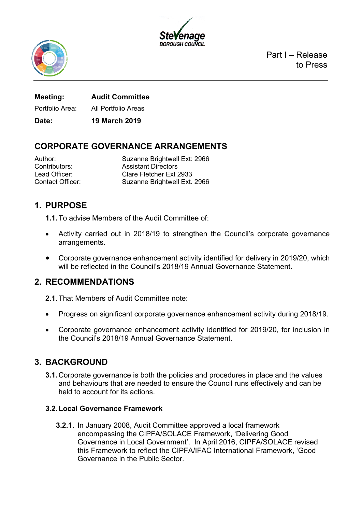



Part I – Release to Press

**Meeting: Audit Committee** Portfolio Area: All Portfolio Areas

**Date: 19 March 2019**

# **CORPORATE GOVERNANCE ARRANGEMENTS**

Author: Suzanne Brightwell Ext: 2966 Contributors: Assistant Directors Lead Officer: Clare Fletcher Ext 2933 Contact Officer: Suzanne Brightwell Ext. 2966

## **1. PURPOSE**

**1.1.**To advise Members of the Audit Committee of:

- Activity carried out in 2018/19 to strengthen the Council's corporate governance arrangements.
- Corporate governance enhancement activity identified for delivery in 2019/20, which will be reflected in the Council's 2018/19 Annual Governance Statement.

## **2. RECOMMENDATIONS**

**2.1.**That Members of Audit Committee note:

- Progress on significant corporate governance enhancement activity during 2018/19.
- Corporate governance enhancement activity identified for 2019/20, for inclusion in the Council's 2018/19 Annual Governance Statement.

## **3. BACKGROUND**

**3.1.**Corporate governance is both the policies and procedures in place and the values and behaviours that are needed to ensure the Council runs effectively and can be held to account for its actions.

### **3.2.Local Governance Framework**

**3.2.1.** In January 2008, Audit Committee approved a local framework encompassing the CIPFA/SOLACE Framework, 'Delivering Good Governance in Local Government'. In April 2016, CIPFA/SOLACE revised this Framework to reflect the CIPFA/IFAC International Framework, 'Good Governance in the Public Sector.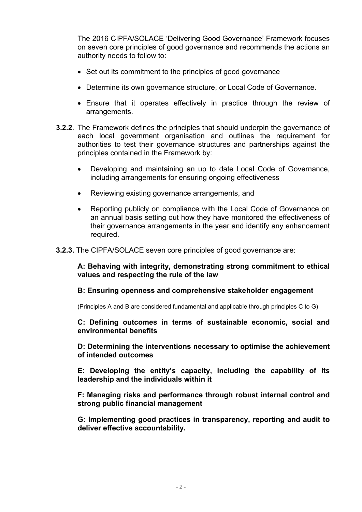The 2016 CIPFA/SOLACE 'Delivering Good Governance' Framework focuses on seven core principles of good governance and recommends the actions an authority needs to follow to:

- Set out its commitment to the principles of good governance
- Determine its own governance structure, or Local Code of Governance.
- Ensure that it operates effectively in practice through the review of arrangements.
- **3.2.2**. The Framework defines the principles that should underpin the governance of each local government organisation and outlines the requirement for authorities to test their governance structures and partnerships against the principles contained in the Framework by:
	- Developing and maintaining an up to date Local Code of Governance, including arrangements for ensuring ongoing effectiveness
	- Reviewing existing governance arrangements, and
	- Reporting publicly on compliance with the Local Code of Governance on an annual basis setting out how they have monitored the effectiveness of their governance arrangements in the year and identify any enhancement required.
- **3.2.3.** The CIPFA/SOLACE seven core principles of good governance are:

**A: Behaving with integrity, demonstrating strong commitment to ethical values and respecting the rule of the law**

#### **B: Ensuring openness and comprehensive stakeholder engagement**

(Principles A and B are considered fundamental and applicable through principles C to G)

**C: Defining outcomes in terms of sustainable economic, social and environmental benefits**

**D: Determining the interventions necessary to optimise the achievement of intended outcomes**

**E: Developing the entity's capacity, including the capability of its leadership and the individuals within it**

**F: Managing risks and performance through robust internal control and strong public financial management**

**G: Implementing good practices in transparency, reporting and audit to deliver effective accountability.**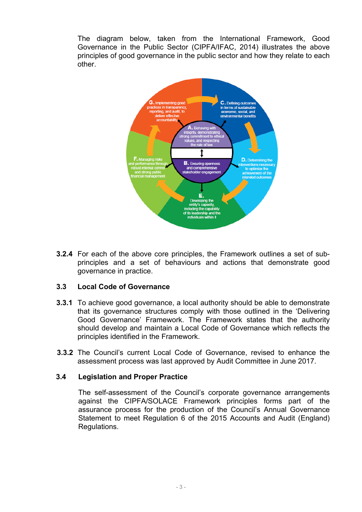The diagram below, taken from the International Framework, Good Governance in the Public Sector (CIPFA/IFAC, 2014) illustrates the above principles of good governance in the public sector and how they relate to each other.



**3.2.4** For each of the above core principles, the Framework outlines a set of subprinciples and a set of behaviours and actions that demonstrate good governance in practice.

#### **3.3 Local Code of Governance**

- **3.3.1** To achieve good governance, a local authority should be able to demonstrate that its governance structures comply with those outlined in the 'Delivering Good Governance' Framework. The Framework states that the authority should develop and maintain a Local Code of Governance which reflects the principles identified in the Framework.
- **3.3.2** The Council's current Local Code of Governance, revised to enhance the assessment process was last approved by Audit Committee in June 2017.

#### **3.4 Legislation and Proper Practice**

The self-assessment of the Council's corporate governance arrangements against the CIPFA/SOLACE Framework principles forms part of the assurance process for the production of the Council's Annual Governance Statement to meet Regulation 6 of the 2015 Accounts and Audit (England) Regulations.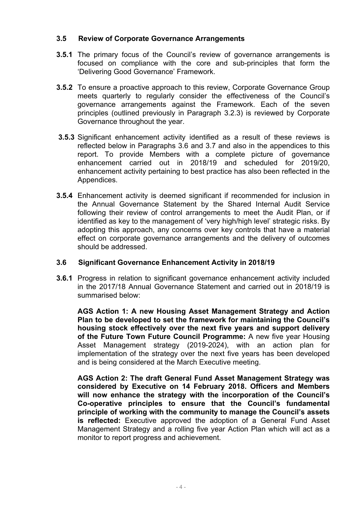### **3.5 Review of Corporate Governance Arrangements**

- **3.5.1** The primary focus of the Council's review of governance arrangements is focused on compliance with the core and sub-principles that form the 'Delivering Good Governance' Framework.
- **3.5.2** To ensure a proactive approach to this review, Corporate Governance Group meets quarterly to regularly consider the effectiveness of the Council's governance arrangements against the Framework. Each of the seven principles (outlined previously in Paragraph 3.2.3) is reviewed by Corporate Governance throughout the year.
- **3.5.3** Significant enhancement activity identified as a result of these reviews is reflected below in Paragraphs 3.6 and 3.7 and also in the appendices to this report. To provide Members with a complete picture of governance enhancement carried out in 2018/19 and scheduled for 2019/20, enhancement activity pertaining to best practice has also been reflected in the Appendices.
- **3.5.4** Enhancement activity is deemed significant if recommended for inclusion in the Annual Governance Statement by the Shared Internal Audit Service following their review of control arrangements to meet the Audit Plan, or if identified as key to the management of 'very high/high level' strategic risks. By adopting this approach, any concerns over key controls that have a material effect on corporate governance arrangements and the delivery of outcomes should be addressed.

#### **3.6 Significant Governance Enhancement Activity in 2018/19**

**3.6.1** Progress in relation to significant governance enhancement activity included in the 2017/18 Annual Governance Statement and carried out in 2018/19 is summarised below:

**AGS Action 1: A new Housing Asset Management Strategy and Action Plan to be developed to set the framework for maintaining the Council's housing stock effectively over the next five years and support delivery of the Future Town Future Council Programme:** A new five year Housing Asset Management strategy (2019-2024), with an action plan for implementation of the strategy over the next five years has been developed and is being considered at the March Executive meeting.

**AGS Action 2: The draft General Fund Asset Management Strategy was considered by Executive on 14 February 2018. Officers and Members will now enhance the strategy with the incorporation of the Council's Co-operative principles to ensure that the Council's fundamental principle of working with the community to manage the Council's assets is reflected:** Executive approved the adoption of a General Fund Asset Management Strategy and a rolling five year Action Plan which will act as a monitor to report progress and achievement.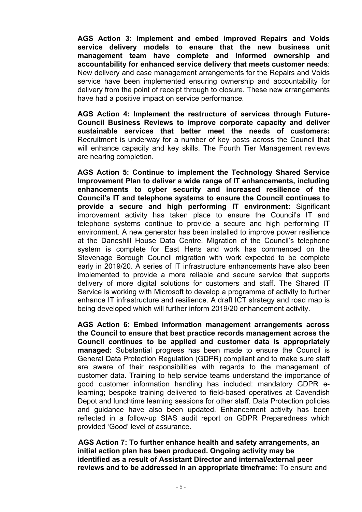**AGS Action 3: Implement and embed improved Repairs and Voids service delivery models to ensure that the new business unit management team have complete and informed ownership and accountability for enhanced service delivery that meets customer needs**: New delivery and case management arrangements for the Repairs and Voids service have been implemented ensuring ownership and accountability for delivery from the point of receipt through to closure. These new arrangements have had a positive impact on service performance*.*

**AGS Action 4: Implement the restructure of services through Future-Council Business Reviews to improve corporate capacity and deliver sustainable services that better meet the needs of customers:** Recruitment is underway for a number of key posts across the Council that will enhance capacity and key skills. The Fourth Tier Management reviews are nearing completion.

**AGS Action 5: Continue to implement the Technology Shared Service Improvement Plan to deliver a wide range of IT enhancements, including enhancements to cyber security and increased resilience of the Council's IT and telephone systems to ensure the Council continues to provide a secure and high performing IT environment:** Significant improvement activity has taken place to ensure the Council's IT and telephone systems continue to provide a secure and high performing IT environment. A new generator has been installed to improve power resilience at the Daneshill House Data Centre. Migration of the Council's telephone system is complete for East Herts and work has commenced on the Stevenage Borough Council migration with work expected to be complete early in 2019/20. A series of IT infrastructure enhancements have also been implemented to provide a more reliable and secure service that supports delivery of more digital solutions for customers and staff. The Shared IT Service is working with Microsoft to develop a programme of activity to further enhance IT infrastructure and resilience. A draft ICT strategy and road map is being developed which will further inform 2019/20 enhancement activity.

**AGS Action 6: Embed information management arrangements across the Council to ensure that best practice records management across the Council continues to be applied and customer data is appropriately managed:** Substantial progress has been made to ensure the Council is General Data Protection Regulation (GDPR) compliant and to make sure staff are aware of their responsibilities with regards to the management of customer data. Training to help service teams understand the importance of good customer information handling has included: mandatory GDPR elearning; bespoke training delivered to field-based operatives at Cavendish Depot and lunchtime learning sessions for other staff. Data Protection policies and guidance have also been updated. Enhancement activity has been reflected in a follow-up SIAS audit report on GDPR Preparedness which provided 'Good' level of assurance.

**AGS Action 7: To further enhance health and safety arrangements, an initial action plan has been produced. Ongoing activity may be identified as a result of Assistant Director and internal/external peer reviews and to be addressed in an appropriate timeframe:** To ensure and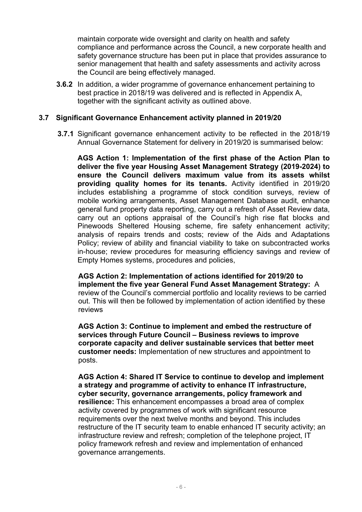maintain corporate wide oversight and clarity on health and safety compliance and performance across the Council, a new corporate health and safety governance structure has been put in place that provides assurance to senior management that health and safety assessments and activity across the Council are being effectively managed.

**3.6.2** In addition, a wider programme of governance enhancement pertaining to best practice in 2018/19 was delivered and is reflected in Appendix A, together with the significant activity as outlined above.

#### **3.7 Significant Governance Enhancement activity planned in 2019/20**

 **3.7.1** Significant governance enhancement activity to be reflected in the 2018/19 Annual Governance Statement for delivery in 2019/20 is summarised below:

**AGS Action 1: Implementation of the first phase of the Action Plan to deliver the five year Housing Asset Management Strategy (2019-2024) to ensure the Council delivers maximum value from its assets whilst providing quality homes for its tenants.** Activity identified in 2019/20 includes establishing a programme of stock condition surveys, review of mobile working arrangements, Asset Management Database audit, enhance general fund property data reporting, carry out a refresh of Asset Review data, carry out an options appraisal of the Council's high rise flat blocks and Pinewoods Sheltered Housing scheme, fire safety enhancement activity; analysis of repairs trends and costs; review of the Aids and Adaptations Policy; review of ability and financial viability to take on subcontracted works in-house; review procedures for measuring efficiency savings and review of Empty Homes systems, procedures and policies,

**AGS Action 2: Implementation of actions identified for 2019/20 to implement the five year General Fund Asset Management Strategy:** A review of the Council's commercial portfolio and locality reviews to be carried out. This will then be followed by implementation of action identified by these reviews

**AGS Action 3: Continue to implement and embed the restructure of services through Future Council – Business reviews to improve corporate capacity and deliver sustainable services that better meet customer needs:** Implementation of new structures and appointment to posts.

**AGS Action 4: Shared IT Service to continue to develop and implement a strategy and programme of activity to enhance IT infrastructure, cyber security, governance arrangements, policy framework and resilience:** This enhancement encompasses a broad area of complex activity covered by programmes of work with significant resource requirements over the next twelve months and beyond. This includes restructure of the IT security team to enable enhanced IT security activity; an infrastructure review and refresh; completion of the telephone project, IT policy framework refresh and review and implementation of enhanced governance arrangements.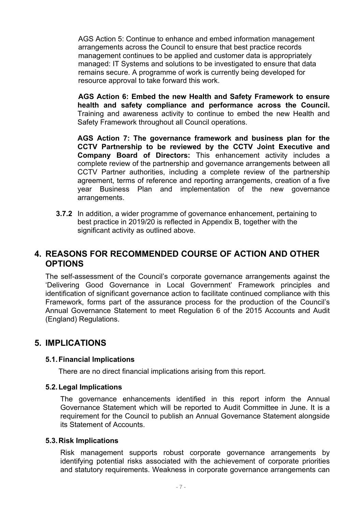AGS Action 5: Continue to enhance and embed information management arrangements across the Council to ensure that best practice records management continues to be applied and customer data is appropriately managed: IT Systems and solutions to be investigated to ensure that data remains secure. A programme of work is currently being developed for resource approval to take forward this work.

**AGS Action 6: Embed the new Health and Safety Framework to ensure health and safety compliance and performance across the Council.** Training and awareness activity to continue to embed the new Health and Safety Framework throughout all Council operations.

**AGS Action 7: The governance framework and business plan for the CCTV Partnership to be reviewed by the CCTV Joint Executive and Company Board of Directors:** This enhancement activity includes a complete review of the partnership and governance arrangements between all CCTV Partner authorities, including a complete review of the partnership agreement, terms of reference and reporting arrangements, creation of a five year Business Plan and implementation of the new governance arrangements.

**3.7.2** In addition, a wider programme of governance enhancement, pertaining to best practice in 2019/20 is reflected in Appendix B, together with the significant activity as outlined above.

### **4. REASONS FOR RECOMMENDED COURSE OF ACTION AND OTHER OPTIONS**

The self-assessment of the Council's corporate governance arrangements against the 'Delivering Good Governance in Local Government' Framework principles and identification of significant governance action to facilitate continued compliance with this Framework, forms part of the assurance process for the production of the Council's Annual Governance Statement to meet Regulation 6 of the 2015 Accounts and Audit (England) Regulations.

### **5. IMPLICATIONS**

#### **5.1.Financial Implications**

There are no direct financial implications arising from this report.

#### **5.2.Legal Implications**

The governance enhancements identified in this report inform the Annual Governance Statement which will be reported to Audit Committee in June. It is a requirement for the Council to publish an Annual Governance Statement alongside its Statement of Accounts.

#### **5.3.Risk Implications**

Risk management supports robust corporate governance arrangements by identifying potential risks associated with the achievement of corporate priorities and statutory requirements. Weakness in corporate governance arrangements can